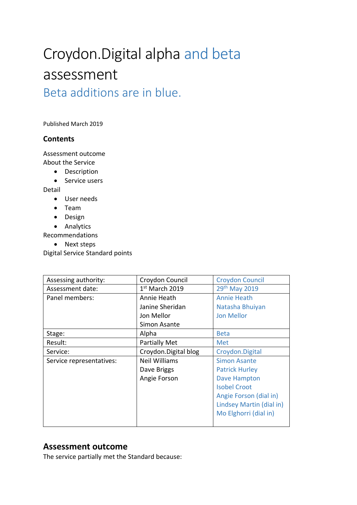# Croydon.Digital alpha and beta assessment Beta additions are in blue.

Published March 2019

#### **Contents**

Assessment outcome About the Service

- Description
- Service users

Detail

- User needs
- Team
- Design
- Analytics

Recommendations

• Next steps

Digital Service Standard points

| Assessing authority:     | Croydon Council      | <b>Croydon Council</b>   |
|--------------------------|----------------------|--------------------------|
| Assessment date:         | $1st$ March 2019     | 29th May 2019            |
| Panel members:           | Annie Heath          | <b>Annie Heath</b>       |
|                          | Janine Sheridan      | Natasha Bhuiyan          |
|                          | Jon Mellor           | <b>Jon Mellor</b>        |
|                          | Simon Asante         |                          |
| Stage:                   | Alpha                | <b>Beta</b>              |
| Result:                  | <b>Partially Met</b> | <b>Met</b>               |
| Service:                 | Croydon.Digital blog | Croydon. Digital         |
| Service representatives: | Neil Williams        | <b>Simon Asante</b>      |
|                          | Dave Briggs          | <b>Patrick Hurley</b>    |
|                          | Angie Forson         | Dave Hampton             |
|                          |                      | <b>Isobel Croot</b>      |
|                          |                      | Angie Forson (dial in)   |
|                          |                      | Lindsey Martin (dial in) |
|                          |                      | Mo Elghorri (dial in)    |
|                          |                      |                          |

# **Assessment outcome**

The service partially met the Standard because: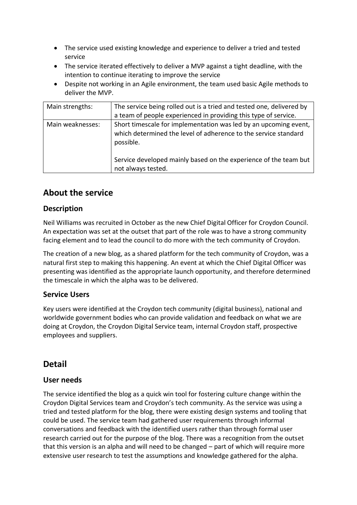- The service used existing knowledge and experience to deliver a tried and tested service
- The service iterated effectively to deliver a MVP against a tight deadline, with the intention to continue iterating to improve the service
- Despite not working in an Agile environment, the team used basic Agile methods to deliver the MVP.

| Main strengths:  | The service being rolled out is a tried and tested one, delivered by         |  |
|------------------|------------------------------------------------------------------------------|--|
|                  | a team of people experienced in providing this type of service.              |  |
| Main weaknesses: | Short timescale for implementation was led by an upcoming event,             |  |
|                  | which determined the level of adherence to the service standard<br>possible. |  |
|                  |                                                                              |  |
|                  | Service developed mainly based on the experience of the team but             |  |
|                  | not always tested.                                                           |  |

# **About the service**

## **Description**

Neil Williams was recruited in October as the new Chief Digital Officer for Croydon Council. An expectation was set at the outset that part of the role was to have a strong community facing element and to lead the council to do more with the tech community of Croydon.

The creation of a new blog, as a shared platform for the tech community of Croydon, was a natural first step to making this happening. An event at which the Chief Digital Officer was presenting was identified as the appropriate launch opportunity, and therefore determined the timescale in which the alpha was to be delivered.

### **Service Users**

Key users were identified at the Croydon tech community (digital business), national and worldwide government bodies who can provide validation and feedback on what we are doing at Croydon, the Croydon Digital Service team, internal Croydon staff, prospective employees and suppliers.

# **Detail**

### **User needs**

The service identified the blog as a quick win tool for fostering culture change within the Croydon Digital Services team and Croydon's tech community. As the service was using a tried and tested platform for the blog, there were existing design systems and tooling that could be used. The service team had gathered user requirements through informal conversations and feedback with the identified users rather than through formal user research carried out for the purpose of the blog. There was a recognition from the outset that this version is an alpha and will need to be changed – part of which will require more extensive user research to test the assumptions and knowledge gathered for the alpha.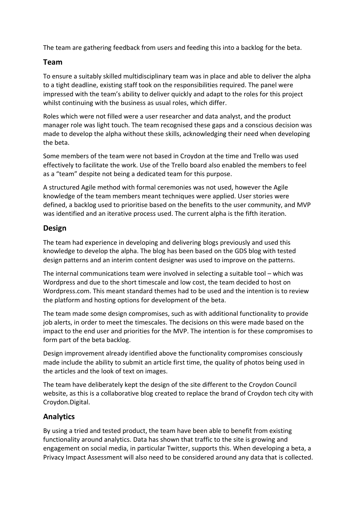The team are gathering feedback from users and feeding this into a backlog for the beta.

## **Team**

To ensure a suitably skilled multidisciplinary team was in place and able to deliver the alpha to a tight deadline, existing staff took on the responsibilities required. The panel were impressed with the team's ability to deliver quickly and adapt to the roles for this project whilst continuing with the business as usual roles, which differ.

Roles which were not filled were a user researcher and data analyst, and the product manager role was light touch. The team recognised these gaps and a conscious decision was made to develop the alpha without these skills, acknowledging their need when developing the beta.

Some members of the team were not based in Croydon at the time and Trello was used effectively to facilitate the work. Use of the Trello board also enabled the members to feel as a "team" despite not being a dedicated team for this purpose.

A structured Agile method with formal ceremonies was not used, however the Agile knowledge of the team members meant techniques were applied. User stories were defined, a backlog used to prioritise based on the benefits to the user community, and MVP was identified and an iterative process used. The current alpha is the fifth iteration.

## **Design**

The team had experience in developing and delivering blogs previously and used this knowledge to develop the alpha. The blog has been based on the GDS blog with tested design patterns and an interim content designer was used to improve on the patterns.

The internal communications team were involved in selecting a suitable tool – which was Wordpress and due to the short timescale and low cost, the team decided to host on Wordpress.com. This meant standard themes had to be used and the intention is to review the platform and hosting options for development of the beta.

The team made some design compromises, such as with additional functionality to provide job alerts, in order to meet the timescales. The decisions on this were made based on the impact to the end user and priorities for the MVP. The intention is for these compromises to form part of the beta backlog.

Design improvement already identified above the functionality compromises consciously made include the ability to submit an article first time, the quality of photos being used in the articles and the look of text on images.

The team have deliberately kept the design of the site different to the Croydon Council website, as this is a collaborative blog created to replace the brand of Croydon tech city with Croydon.Digital.

## **Analytics**

By using a tried and tested product, the team have been able to benefit from existing functionality around analytics. Data has shown that traffic to the site is growing and engagement on social media, in particular Twitter, supports this. When developing a beta, a Privacy Impact Assessment will also need to be considered around any data that is collected.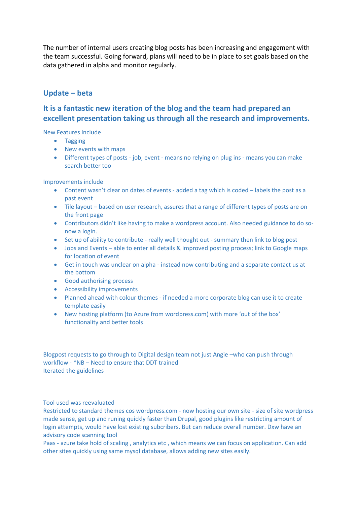The number of internal users creating blog posts has been increasing and engagement with the team successful. Going forward, plans will need to be in place to set goals based on the data gathered in alpha and monitor regularly.

### **Update – beta**

## **It is a fantastic new iteration of the blog and the team had prepared an excellent presentation taking us through all the research and improvements.**

New Features include

- Tagging
- New events with maps
- Different types of posts job, event means no relying on plug ins means you can make search better too

Improvements include

- Content wasn't clear on dates of events added a tag which is coded labels the post as a past event
- Tile layout based on user research, assures that a range of different types of posts are on the front page
- Contributors didn't like having to make a wordpress account. Also needed guidance to do sonow a login.
- Set up of ability to contribute really well thought out summary then link to blog post
- Jobs and Events able to enter all details & improved posting process; link to Google maps for location of event
- Get in touch was unclear on alpha instead now contributing and a separate contact us at the bottom
- Good authorising process
- Accessibility improvements
- Planned ahead with colour themes if needed a more corporate blog can use it to create template easily
- New hosting platform (to Azure from wordpress.com) with more 'out of the box' functionality and better tools

Blogpost requests to go through to Digital design team not just Angie –who can push through workflow - \*NB – Need to ensure that DDT trained Iterated the guidelines

Tool used was reevaluated

Restricted to standard themes cos wordpress.com - now hosting our own site - size of site wordpress made sense, get up and runing quickly faster than Drupal, good plugins like restricting amount of login attempts, would have lost existing subcribers. But can reduce overall number. Dxw have an advisory code scanning tool

Paas - azure take hold of scaling , analytics etc , which means we can focus on application. Can add other sites quickly using same mysql database, allows adding new sites easily.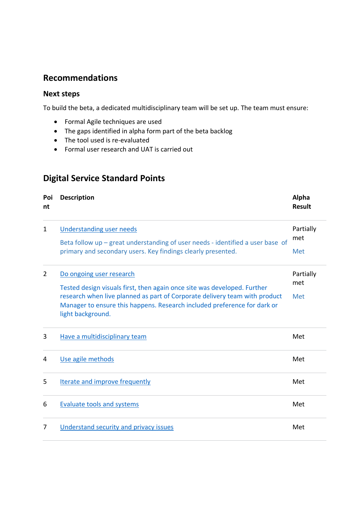# **Recommendations**

#### **Next steps**

To build the beta, a dedicated multidisciplinary team will be set up. The team must ensure:

- Formal Agile techniques are used
- The gaps identified in alpha form part of the beta backlog
- The tool used is re-evaluated
- Formal user research and UAT is carried out

# **Digital Service Standard Points**

| Poi<br>nt | <b>Description</b>                                                                                                                                                                                                                                                                  | Alpha<br><b>Result</b>  |
|-----------|-------------------------------------------------------------------------------------------------------------------------------------------------------------------------------------------------------------------------------------------------------------------------------------|-------------------------|
| 1         | <b>Understanding user needs</b><br>Beta follow up - great understanding of user needs - identified a user base of<br>primary and secondary users. Key findings clearly presented.                                                                                                   | Partially<br>met<br>Met |
| 2         | Do ongoing user research<br>Tested design visuals first, then again once site was developed. Further<br>research when live planned as part of Corporate delivery team with product<br>Manager to ensure this happens. Research included preference for dark or<br>light background. | Partially<br>met<br>Met |
| 3         | Have a multidisciplinary team                                                                                                                                                                                                                                                       | Met                     |
| 4         | Use agile methods                                                                                                                                                                                                                                                                   | Met                     |
| 5         | <b>Iterate and improve frequently</b>                                                                                                                                                                                                                                               | Met                     |
| 6         | <b>Evaluate tools and systems</b>                                                                                                                                                                                                                                                   | Met                     |
| 7         | Understand security and privacy issues                                                                                                                                                                                                                                              | Met                     |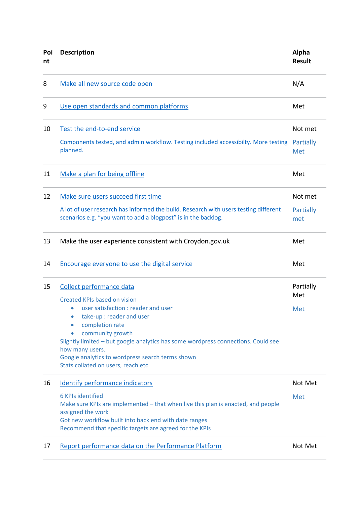| Poi<br>nt | <b>Description</b>                                                                                                                                                                                                                                                                                                                                    | Alpha<br><b>Result</b> |
|-----------|-------------------------------------------------------------------------------------------------------------------------------------------------------------------------------------------------------------------------------------------------------------------------------------------------------------------------------------------------------|------------------------|
| 8         | Make all new source code open                                                                                                                                                                                                                                                                                                                         | N/A                    |
| 9         | Use open standards and common platforms                                                                                                                                                                                                                                                                                                               | Met                    |
| 10        | Test the end-to-end service                                                                                                                                                                                                                                                                                                                           | Not met                |
|           | Components tested, and admin workflow. Testing included accessibilty. More testing<br>planned.                                                                                                                                                                                                                                                        | Partially<br>Met       |
| 11        | Make a plan for being offline                                                                                                                                                                                                                                                                                                                         | Met                    |
| 12        | Make sure users succeed first time                                                                                                                                                                                                                                                                                                                    | Not met                |
|           | A lot of user research has informed the build. Research with users testing different<br>scenarios e.g. "you want to add a blogpost" is in the backlog.                                                                                                                                                                                                | Partially<br>met       |
| 13        | Make the user experience consistent with Croydon.gov.uk                                                                                                                                                                                                                                                                                               | Met                    |
| 14        | <b>Encourage everyone to use the digital service</b>                                                                                                                                                                                                                                                                                                  | Met                    |
| 15        | Collect performance data                                                                                                                                                                                                                                                                                                                              | Partially<br>Met       |
|           | Created KPIs based on vision<br>user satisfaction : reader and user<br>take-up: reader and user<br>$\bullet$<br>completion rate<br>community growth<br>Slightly limited - but google analytics has some wordpress connections. Could see<br>how many users.<br>Google analytics to wordpress search terms shown<br>Stats collated on users, reach etc | Met                    |
| 16        | <b>Identify performance indicators</b>                                                                                                                                                                                                                                                                                                                | Not Met                |
|           | <b>6 KPIs identified</b><br>Make sure KPIs are implemented - that when live this plan is enacted, and people<br>assigned the work<br>Got new workflow built into back end with date ranges<br>Recommend that specific targets are agreed for the KPIs                                                                                                 |                        |
| 17        | Report performance data on the Performance Platform                                                                                                                                                                                                                                                                                                   | Not Met                |